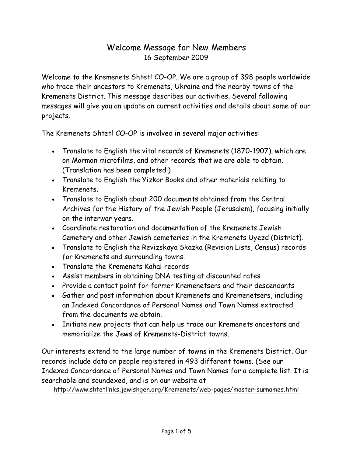## Welcome Message for New Members 16 September 2009

Welcome to the Kremenets Shtetl CO-OP. We are a group of 398 people worldwide who trace their ancestors to Kremenets, Ukraine and the nearby towns of the Kremenets District. This message describes our activities. Several following messages will give you an update on current activities and details about some of our projects.

The Kremenets Shtetl CO-OP is involved in several major activities:

- Translate to English the vital records of Kremenets (1870-1907), which are on Mormon microfilms, and other records that we are able to obtain. (Translation has been completed!)
- Translate to English the Yizkor Books and other materials relating to Kremenets.
- Translate to English about 200 documents obtained from the Central Archives for the History of the Jewish People (Jerusalem), focusing initially on the interwar years.
- Coordinate restoration and documentation of the Kremenets Jewish Cemetery and other Jewish cemeteries in the Kremenets Uyezd (District).
- Translate to English the Revizskaya Skazka (Revision Lists, Census) records for Kremenets and surrounding towns.
- Translate the Kremenets Kahal records
- Assist members in obtaining DNA testing at discounted rates
- Provide a contact point for former Kremenetsers and their descendants
- Gather and post information about Kremenets and Kremenetsers, including an Indexed Concordance of Personal Names and Town Names extracted from the documents we obtain.
- Initiate new projects that can help us trace our Kremenets ancestors and memorialize the Jews of Kremenets-District towns.

Our interests extend to the large number of towns in the Kremenets District. Our records include data on people registered in 493 different towns. (See our Indexed Concordance of Personal Names and Town Names for a complete list. It is searchable and soundexed, and is on our website at

http://www.shtetlinks.jewishgen.org/Kremenets/web-pages/master-surnames.html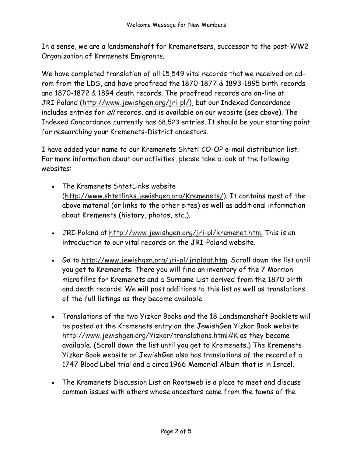In a sense, we are a landsmanshaft for Kremenetsers, successor to the post-WW2 Organization of Kremenets Emigrants.

We have completed translation of all 15,549 vital records that we received on cdrom from the LDS, and have proofread the 1870-1877 & 1893-1895 birth records and 1870-1872 & 1894 death records. The proofread records are on-line at JRI-Poland (http://www.jewishgen.org/jri-pl/), but our Indexed Concordance includes entries for all records, and is available on our website (see above). The Indexed Concordance currently has 68,523 entries. It should be your starting point for researching your Kremenets-District ancestors.

I have added your name to our Kremenets Shtetl CO-OP e-mail distribution list. For more information about our activities, please take a look at the following websites:

- The Kremenets ShtetLinks website (http://www.shtetlinks.jewishgen.org/Kremenets/). It contains most of the above material (or links to the other sites) as well as additional information about Kremenets (history, photos, etc.).
- JRI-Poland at http://www.jewishgen.org/jri-pl/kremenet.htm. This is an introduction to our vital records on the JRI-Poland website.
- Go to http://www.jewishgen.org/jri-pl/jripldat.htm. Scroll down the list until you get to Kremenets. There you will find an inventory of the 7 Mormon microfilms for Kremenets and a Surname List derived from the 1870 birth and death records. We will post additions to this list as well as translations of the full listings as they become available.
- Translations of the two Yizkor Books and the 18 Landsmanshaft Booklets will be posted at the Kremenets entry on the JewishGen Yizkor Book website http://www.jewishgen.org/Yizkor/translations.html#K as they become available. (Scroll down the list until you get to Kremenets.) The Kremenets Yizkor Book website on JewishGen also has translations of the record of a 1747 Blood Libel trial and a circa 1966 Memorial Album that is in Israel.
- The Kremenets Discussion List on Rootsweb is a place to meet and discuss common issues with others whose ancestors come from the towns of the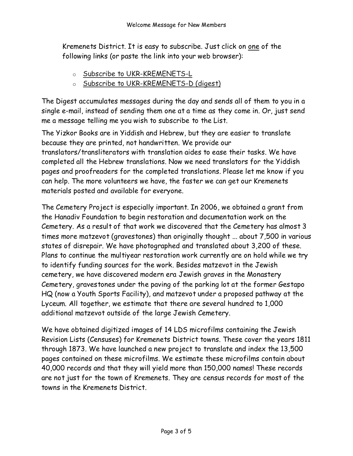Kremenets District. It is easy to subscribe. Just click on one of the following links (or paste the link into your web browser):

- o Subscribe to UKR-KREMENETS-L
- o Subscribe to UKR-KREMENETS-D (digest)

The Digest accumulates messages during the day and sends all of them to you in a single e-mail, instead of sending them one at a time as they come in. Or, just send me a message telling me you wish to subscribe to the List.

The Yizkor Books are in Yiddish and Hebrew, but they are easier to translate because they are printed, not handwritten. We provide our translators/transliterators with translation aides to ease their tasks. We have completed all the Hebrew translations. Now we need translators for the Yiddish pages and proofreaders for the completed translations. Please let me know if you can help. The more volunteers we have, the faster we can get our Kremenets materials posted and available for everyone.

The Cemetery Project is especially important. In 2006, we obtained a grant from the Hanadiv Foundation to begin restoration and documentation work on the Cemetery. As a result of that work we discovered that the Cemetery has almost 3 times more matzevot (gravestones) than originally thought ... about 7,500 in various states of disrepair. We have photographed and translated about 3,200 of these. Plans to continue the multiyear restoration work currently are on hold while we try to identify funding sources for the work. Besides matzevot in the Jewish cemetery, we have discovered modern era Jewish graves in the Monastery Cemetery, gravestones under the paving of the parking lot at the former Gestapo HQ (now a Youth Sports Facility), and matzevot under a proposed pathway at the Lyceum. All together, we estimate that there are several hundred to 1,000 additional matzevot outside of the large Jewish Cemetery.

We have obtained digitized images of 14 LDS microfilms containing the Jewish Revision Lists (Censuses) for Kremenets District towns. These cover the years 1811 through 1873. We have launched a new project to translate and index the 13,500 pages contained on these microfilms. We estimate these microfilms contain about 40,000 records and that they will yield more than 150,000 names! These records are not just for the town of Kremenets. They are census records for most of the towns in the Kremenets District.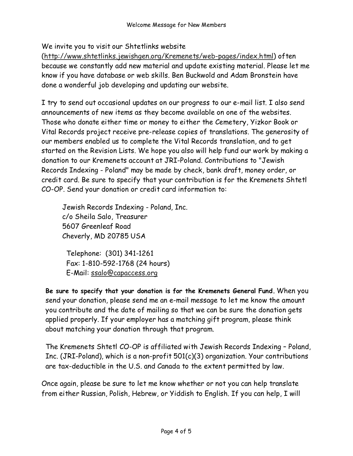We invite you to visit our Shtetlinks website

(http://www.shtetlinks.jewishgen.org/Kremenets/web-pages/index.html) often because we constantly add new material and update existing material. Please let me know if you have database or web skills. Ben Buckwold and Adam Bronstein have done a wonderful job developing and updating our website.

I try to send out occasional updates on our progress to our e-mail list. I also send announcements of new items as they become available on one of the websites. Those who donate either time or money to either the Cemetery, Yizkor Book or Vital Records project receive pre-release copies of translations. The generosity of our members enabled us to complete the Vital Records translation, and to get started on the Revision Lists. We hope you also will help fund our work by making a donation to our Kremenets account at JRI-Poland. Contributions to "Jewish Records Indexing - Poland" may be made by check, bank draft, money order, or credit card. Be sure to specify that your contribution is for the Kremenets Shtetl CO-OP. Send your donation or credit card information to:

Jewish Records Indexing - Poland, Inc. c/o Sheila Salo, Treasurer 5607 Greenleaf Road Cheverly, MD 20785 USA

Telephone: (301) 341-1261 Fax: 1-810-592-1768 (24 hours) E-Mail: ssalo@capaccess.org

Be sure to specify that your donation is for the Kremenets General Fund. When you send your donation, please send me an e-mail message to let me know the amount you contribute and the date of mailing so that we can be sure the donation gets applied properly. If your employer has a matching gift program, please think about matching your donation through that program.

The Kremenets Shtetl CO-OP is affiliated with Jewish Records Indexing – Poland, Inc. (JRI-Poland), which is a non-profit 501(c)(3) organization. Your contributions are tax-deductible in the U.S. and Canada to the extent permitted by law.

Once again, please be sure to let me know whether or not you can help translate from either Russian, Polish, Hebrew, or Yiddish to English. If you can help, I will